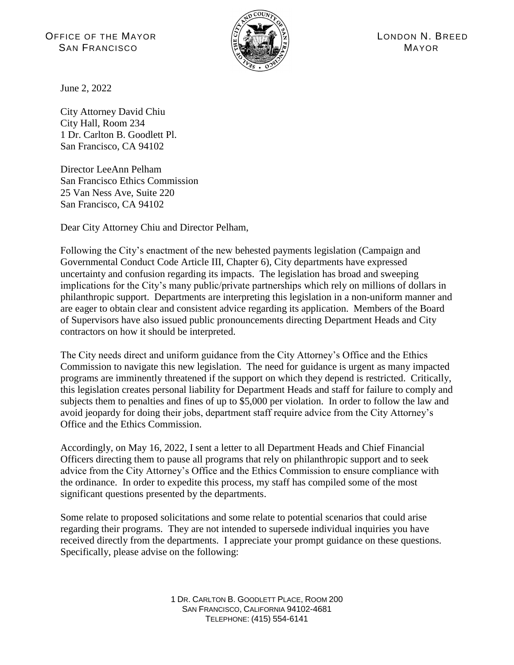OFFICE OF THE MAYOR A REAL AND A REAL AGAINST A REAL AGAINST A LONDON N. BREED  $S$ AN FRANCISCO **MAYOR** 



June 2, 2022

City Attorney David Chiu City Hall, Room 234 1 Dr. Carlton B. Goodlett Pl. San Francisco, CA 94102

Director LeeAnn Pelham San Francisco Ethics Commission 25 Van Ness Ave, Suite 220 San Francisco, CA 94102

Dear City Attorney Chiu and Director Pelham,

Following the City's enactment of the new behested payments legislation (Campaign and Governmental Conduct Code Article III, Chapter 6), City departments have expressed uncertainty and confusion regarding its impacts. The legislation has broad and sweeping implications for the City's many public/private partnerships which rely on millions of dollars in philanthropic support. Departments are interpreting this legislation in a non-uniform manner and are eager to obtain clear and consistent advice regarding its application. Members of the Board of Supervisors have also issued public pronouncements directing Department Heads and City contractors on how it should be interpreted.

The City needs direct and uniform guidance from the City Attorney's Office and the Ethics Commission to navigate this new legislation. The need for guidance is urgent as many impacted programs are imminently threatened if the support on which they depend is restricted. Critically, this legislation creates personal liability for Department Heads and staff for failure to comply and subjects them to penalties and fines of up to \$5,000 per violation. In order to follow the law and avoid jeopardy for doing their jobs, department staff require advice from the City Attorney's Office and the Ethics Commission.

Accordingly, on May 16, 2022, I sent a letter to all Department Heads and Chief Financial Officers directing them to pause all programs that rely on philanthropic support and to seek advice from the City Attorney's Office and the Ethics Commission to ensure compliance with the ordinance. In order to expedite this process, my staff has compiled some of the most significant questions presented by the departments.

Some relate to proposed solicitations and some relate to potential scenarios that could arise regarding their programs. They are not intended to supersede individual inquiries you have received directly from the departments. I appreciate your prompt guidance on these questions. Specifically, please advise on the following: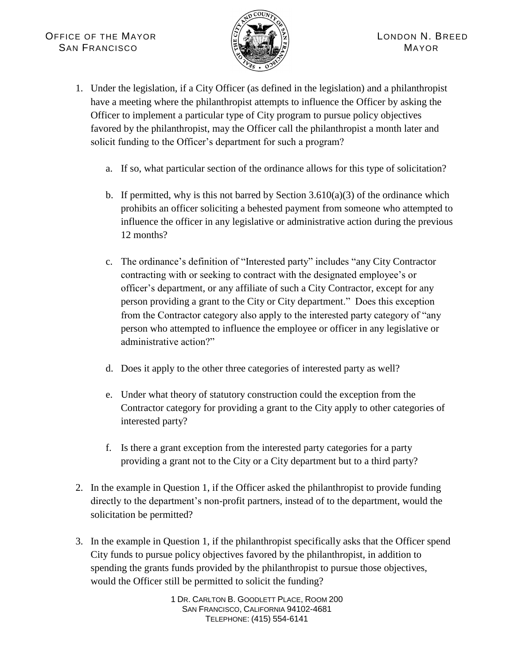

- 1. Under the legislation, if a City Officer (as defined in the legislation) and a philanthropist have a meeting where the philanthropist attempts to influence the Officer by asking the Officer to implement a particular type of City program to pursue policy objectives favored by the philanthropist, may the Officer call the philanthropist a month later and solicit funding to the Officer's department for such a program?
	- a. If so, what particular section of the ordinance allows for this type of solicitation?
	- b. If permitted, why is this not barred by Section  $3.610(a)(3)$  of the ordinance which prohibits an officer soliciting a behested payment from someone who attempted to influence the officer in any legislative or administrative action during the previous 12 months?
	- c. The ordinance's definition of "Interested party" includes "any City Contractor contracting with or seeking to contract with the designated employee's or officer's department, or any affiliate of such a City Contractor, except for any person providing a grant to the City or City department." Does this exception from the Contractor category also apply to the interested party category of "any person who attempted to influence the employee or officer in any legislative or administrative action?"
	- d. Does it apply to the other three categories of interested party as well?
	- e. Under what theory of statutory construction could the exception from the Contractor category for providing a grant to the City apply to other categories of interested party?
	- f. Is there a grant exception from the interested party categories for a party providing a grant not to the City or a City department but to a third party?
- 2. In the example in Question 1, if the Officer asked the philanthropist to provide funding directly to the department's non-profit partners, instead of to the department, would the solicitation be permitted?
- 3. In the example in Question 1, if the philanthropist specifically asks that the Officer spend City funds to pursue policy objectives favored by the philanthropist, in addition to spending the grants funds provided by the philanthropist to pursue those objectives, would the Officer still be permitted to solicit the funding?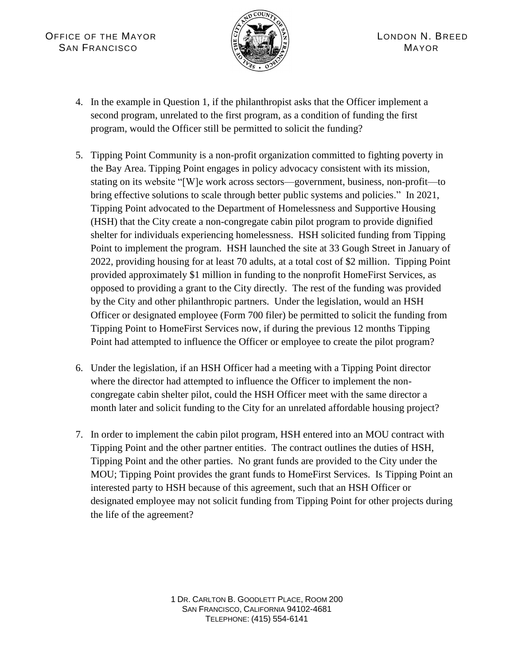

- 4. In the example in Question 1, if the philanthropist asks that the Officer implement a second program, unrelated to the first program, as a condition of funding the first program, would the Officer still be permitted to solicit the funding?
- 5. Tipping Point Community is a non-profit organization committed to fighting poverty in the Bay Area. Tipping Point engages in policy advocacy consistent with its mission, stating on its website "[W]e work across sectors—government, business, non-profit—to bring effective solutions to scale through better public systems and policies." In 2021, Tipping Point advocated to the Department of Homelessness and Supportive Housing (HSH) that the City create a non-congregate cabin pilot program to provide dignified shelter for individuals experiencing homelessness. HSH solicited funding from Tipping Point to implement the program. HSH launched the site at 33 Gough Street in January of 2022, providing housing for at least 70 adults, at a total cost of \$2 million. Tipping Point provided approximately \$1 million in funding to the nonprofit HomeFirst Services, as opposed to providing a grant to the City directly. The rest of the funding was provided by the City and other philanthropic partners. Under the legislation, would an HSH Officer or designated employee (Form 700 filer) be permitted to solicit the funding from Tipping Point to HomeFirst Services now, if during the previous 12 months Tipping Point had attempted to influence the Officer or employee to create the pilot program?
- 6. Under the legislation, if an HSH Officer had a meeting with a Tipping Point director where the director had attempted to influence the Officer to implement the noncongregate cabin shelter pilot, could the HSH Officer meet with the same director a month later and solicit funding to the City for an unrelated affordable housing project?
- 7. In order to implement the cabin pilot program, HSH entered into an MOU contract with Tipping Point and the other partner entities. The contract outlines the duties of HSH, Tipping Point and the other parties. No grant funds are provided to the City under the MOU; Tipping Point provides the grant funds to HomeFirst Services. Is Tipping Point an interested party to HSH because of this agreement, such that an HSH Officer or designated employee may not solicit funding from Tipping Point for other projects during the life of the agreement?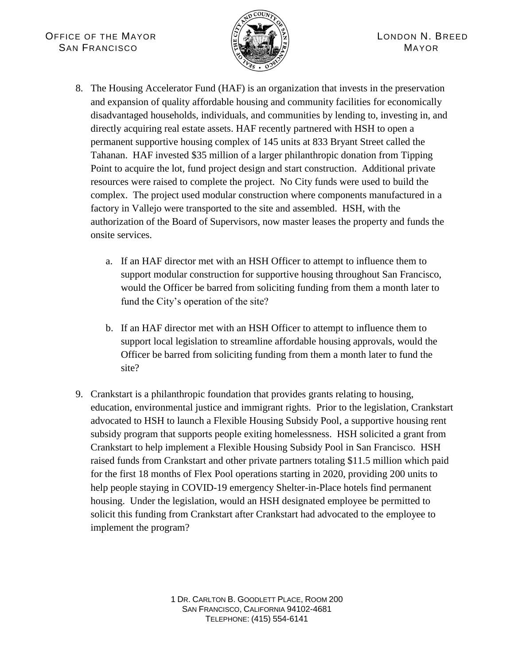

- 8. The Housing Accelerator Fund (HAF) is an organization that invests in the preservation and expansion of quality affordable housing and community facilities for economically disadvantaged households, individuals, and communities by lending to, investing in, and directly acquiring real estate assets. HAF recently partnered with HSH to open a permanent supportive housing complex of 145 units at 833 Bryant Street called the Tahanan. HAF invested \$35 million of a larger philanthropic donation from Tipping Point to acquire the lot, fund project design and start construction. Additional private resources were raised to complete the project. No City funds were used to build the complex. The project used modular construction where components manufactured in a factory in Vallejo were transported to the site and assembled. HSH, with the authorization of the Board of Supervisors, now master leases the property and funds the onsite services.
	- a. If an HAF director met with an HSH Officer to attempt to influence them to support modular construction for supportive housing throughout San Francisco, would the Officer be barred from soliciting funding from them a month later to fund the City's operation of the site?
	- b. If an HAF director met with an HSH Officer to attempt to influence them to support local legislation to streamline affordable housing approvals, would the Officer be barred from soliciting funding from them a month later to fund the site?
- 9. Crankstart is a philanthropic foundation that provides grants relating to housing, education, environmental justice and immigrant rights. Prior to the legislation, Crankstart advocated to HSH to launch a Flexible Housing Subsidy Pool, a supportive housing rent subsidy program that supports people exiting homelessness. HSH solicited a grant from Crankstart to help implement a Flexible Housing Subsidy Pool in San Francisco. HSH raised funds from Crankstart and other private partners totaling \$11.5 million which paid for the first 18 months of Flex Pool operations starting in 2020, providing 200 units to help people staying in COVID-19 emergency Shelter-in-Place hotels find permanent housing. Under the legislation, would an HSH designated employee be permitted to solicit this funding from Crankstart after Crankstart had advocated to the employee to implement the program?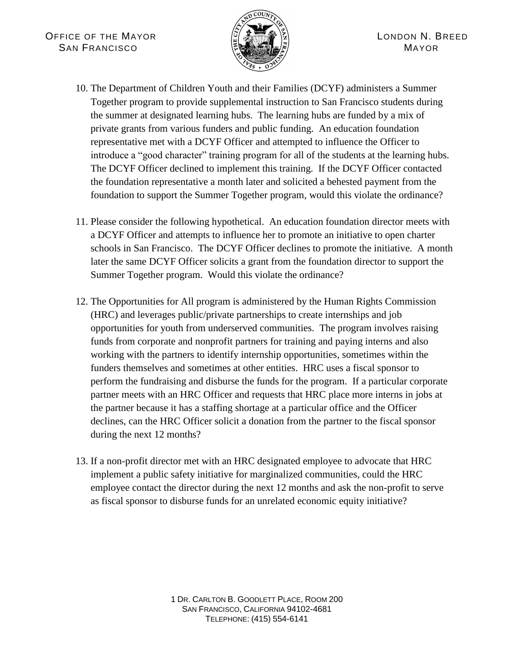

- 10. The Department of Children Youth and their Families (DCYF) administers a Summer Together program to provide supplemental instruction to San Francisco students during the summer at designated learning hubs. The learning hubs are funded by a mix of private grants from various funders and public funding. An education foundation representative met with a DCYF Officer and attempted to influence the Officer to introduce a "good character" training program for all of the students at the learning hubs. The DCYF Officer declined to implement this training. If the DCYF Officer contacted the foundation representative a month later and solicited a behested payment from the foundation to support the Summer Together program, would this violate the ordinance?
- 11. Please consider the following hypothetical. An education foundation director meets with a DCYF Officer and attempts to influence her to promote an initiative to open charter schools in San Francisco. The DCYF Officer declines to promote the initiative. A month later the same DCYF Officer solicits a grant from the foundation director to support the Summer Together program. Would this violate the ordinance?
- 12. The Opportunities for All program is administered by the Human Rights Commission (HRC) and leverages public/private partnerships to create internships and job opportunities for youth from underserved communities. The program involves raising funds from corporate and nonprofit partners for training and paying interns and also working with the partners to identify internship opportunities, sometimes within the funders themselves and sometimes at other entities. HRC uses a fiscal sponsor to perform the fundraising and disburse the funds for the program. If a particular corporate partner meets with an HRC Officer and requests that HRC place more interns in jobs at the partner because it has a staffing shortage at a particular office and the Officer declines, can the HRC Officer solicit a donation from the partner to the fiscal sponsor during the next 12 months?
- 13. If a non-profit director met with an HRC designated employee to advocate that HRC implement a public safety initiative for marginalized communities, could the HRC employee contact the director during the next 12 months and ask the non-profit to serve as fiscal sponsor to disburse funds for an unrelated economic equity initiative?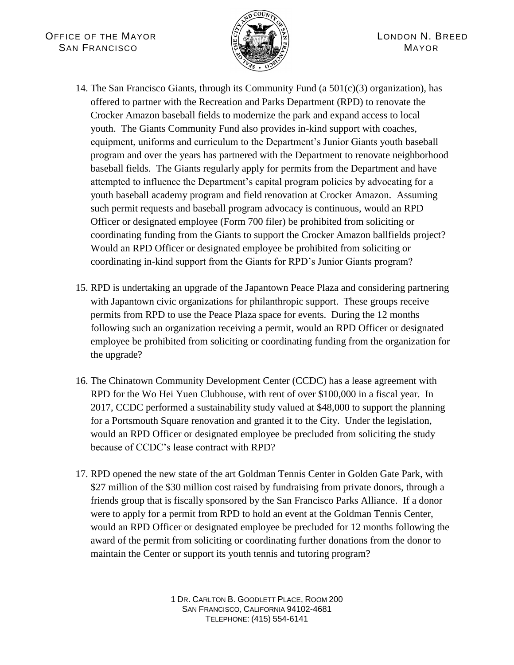

- 14. The San Francisco Giants, through its Community Fund (a 501(c)(3) organization), has offered to partner with the Recreation and Parks Department (RPD) to renovate the Crocker Amazon baseball fields to modernize the park and expand access to local youth. The Giants Community Fund also provides in-kind support with coaches, equipment, uniforms and curriculum to the Department's Junior Giants youth baseball program and over the years has partnered with the Department to renovate neighborhood baseball fields. The Giants regularly apply for permits from the Department and have attempted to influence the Department's capital program policies by advocating for a youth baseball academy program and field renovation at Crocker Amazon. Assuming such permit requests and baseball program advocacy is continuous, would an RPD Officer or designated employee (Form 700 filer) be prohibited from soliciting or coordinating funding from the Giants to support the Crocker Amazon ballfields project? Would an RPD Officer or designated employee be prohibited from soliciting or coordinating in-kind support from the Giants for RPD's Junior Giants program?
- 15. RPD is undertaking an upgrade of the Japantown Peace Plaza and considering partnering with Japantown civic organizations for philanthropic support. These groups receive permits from RPD to use the Peace Plaza space for events. During the 12 months following such an organization receiving a permit, would an RPD Officer or designated employee be prohibited from soliciting or coordinating funding from the organization for the upgrade?
- 16. The Chinatown Community Development Center (CCDC) has a lease agreement with RPD for the Wo Hei Yuen Clubhouse, with rent of over \$100,000 in a fiscal year. In 2017, CCDC performed a sustainability study valued at \$48,000 to support the planning for a Portsmouth Square renovation and granted it to the City. Under the legislation, would an RPD Officer or designated employee be precluded from soliciting the study because of CCDC's lease contract with RPD?
- 17. RPD opened the new state of the art Goldman Tennis Center in Golden Gate Park, with \$27 million of the \$30 million cost raised by fundraising from private donors, through a friends group that is fiscally sponsored by the San Francisco Parks Alliance. If a donor were to apply for a permit from RPD to hold an event at the Goldman Tennis Center, would an RPD Officer or designated employee be precluded for 12 months following the award of the permit from soliciting or coordinating further donations from the donor to maintain the Center or support its youth tennis and tutoring program?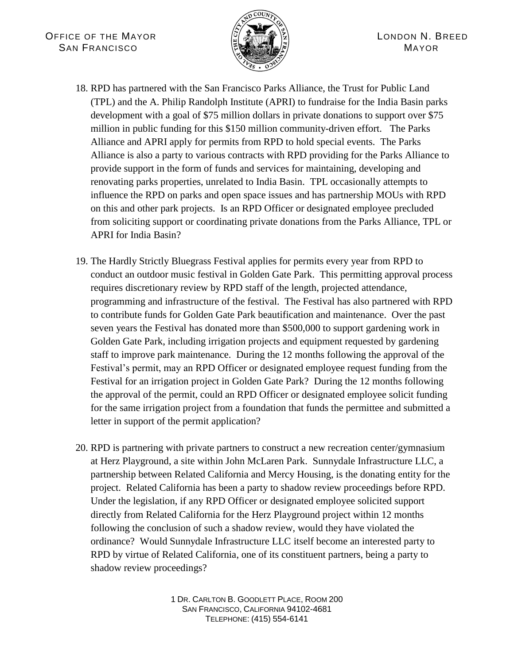

- 18. RPD has partnered with the San Francisco Parks Alliance, the Trust for Public Land (TPL) and the A. Philip Randolph Institute (APRI) to fundraise for the India Basin parks development with a goal of \$75 million dollars in private donations to support over \$75 million in public funding for this \$150 million community-driven effort. The Parks Alliance and APRI apply for permits from RPD to hold special events. The Parks Alliance is also a party to various contracts with RPD providing for the Parks Alliance to provide support in the form of funds and services for maintaining, developing and renovating parks properties, unrelated to India Basin. TPL occasionally attempts to influence the RPD on parks and open space issues and has partnership MOUs with RPD on this and other park projects. Is an RPD Officer or designated employee precluded from soliciting support or coordinating private donations from the Parks Alliance, TPL or APRI for India Basin?
- 19. The Hardly Strictly Bluegrass Festival applies for permits every year from RPD to conduct an outdoor music festival in Golden Gate Park. This permitting approval process requires discretionary review by RPD staff of the length, projected attendance, programming and infrastructure of the festival. The Festival has also partnered with RPD to contribute funds for Golden Gate Park beautification and maintenance. Over the past seven years the Festival has donated more than \$500,000 to support gardening work in Golden Gate Park, including irrigation projects and equipment requested by gardening staff to improve park maintenance. During the 12 months following the approval of the Festival's permit, may an RPD Officer or designated employee request funding from the Festival for an irrigation project in Golden Gate Park? During the 12 months following the approval of the permit, could an RPD Officer or designated employee solicit funding for the same irrigation project from a foundation that funds the permittee and submitted a letter in support of the permit application?
- 20. RPD is partnering with private partners to construct a new recreation center/gymnasium at Herz Playground, a site within John McLaren Park. Sunnydale Infrastructure LLC, a partnership between Related California and Mercy Housing, is the donating entity for the project. Related California has been a party to shadow review proceedings before RPD. Under the legislation, if any RPD Officer or designated employee solicited support directly from Related California for the Herz Playground project within 12 months following the conclusion of such a shadow review, would they have violated the ordinance? Would Sunnydale Infrastructure LLC itself become an interested party to RPD by virtue of Related California, one of its constituent partners, being a party to shadow review proceedings?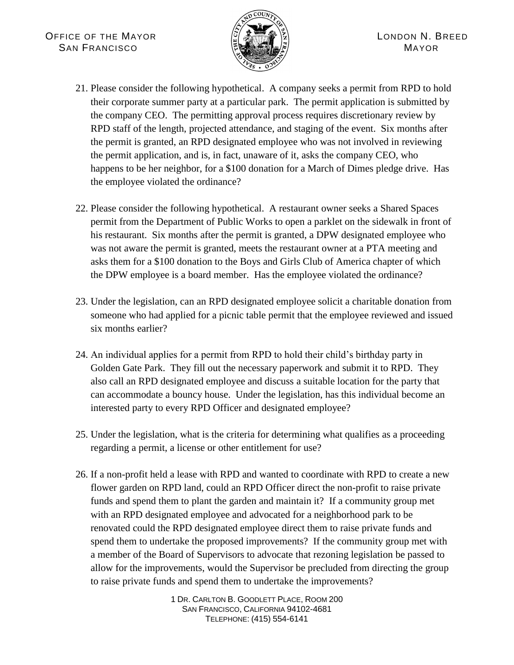

- 21. Please consider the following hypothetical. A company seeks a permit from RPD to hold their corporate summer party at a particular park. The permit application is submitted by the company CEO. The permitting approval process requires discretionary review by RPD staff of the length, projected attendance, and staging of the event. Six months after the permit is granted, an RPD designated employee who was not involved in reviewing the permit application, and is, in fact, unaware of it, asks the company CEO, who happens to be her neighbor, for a \$100 donation for a March of Dimes pledge drive. Has the employee violated the ordinance?
- 22. Please consider the following hypothetical. A restaurant owner seeks a Shared Spaces permit from the Department of Public Works to open a parklet on the sidewalk in front of his restaurant. Six months after the permit is granted, a DPW designated employee who was not aware the permit is granted, meets the restaurant owner at a PTA meeting and asks them for a \$100 donation to the Boys and Girls Club of America chapter of which the DPW employee is a board member. Has the employee violated the ordinance?
- 23. Under the legislation, can an RPD designated employee solicit a charitable donation from someone who had applied for a picnic table permit that the employee reviewed and issued six months earlier?
- 24. An individual applies for a permit from RPD to hold their child's birthday party in Golden Gate Park. They fill out the necessary paperwork and submit it to RPD. They also call an RPD designated employee and discuss a suitable location for the party that can accommodate a bouncy house. Under the legislation, has this individual become an interested party to every RPD Officer and designated employee?
- 25. Under the legislation, what is the criteria for determining what qualifies as a proceeding regarding a permit, a license or other entitlement for use?
- 26. If a non-profit held a lease with RPD and wanted to coordinate with RPD to create a new flower garden on RPD land, could an RPD Officer direct the non-profit to raise private funds and spend them to plant the garden and maintain it? If a community group met with an RPD designated employee and advocated for a neighborhood park to be renovated could the RPD designated employee direct them to raise private funds and spend them to undertake the proposed improvements? If the community group met with a member of the Board of Supervisors to advocate that rezoning legislation be passed to allow for the improvements, would the Supervisor be precluded from directing the group to raise private funds and spend them to undertake the improvements?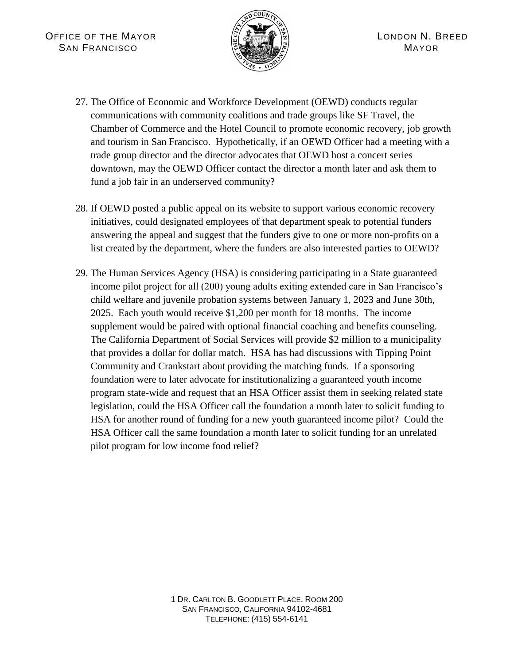

- 27. The Office of Economic and Workforce Development (OEWD) conducts regular communications with community coalitions and trade groups like SF Travel, the Chamber of Commerce and the Hotel Council to promote economic recovery, job growth and tourism in San Francisco. Hypothetically, if an OEWD Officer had a meeting with a trade group director and the director advocates that OEWD host a concert series downtown, may the OEWD Officer contact the director a month later and ask them to fund a job fair in an underserved community?
- 28. If OEWD posted a public appeal on its website to support various economic recovery initiatives, could designated employees of that department speak to potential funders answering the appeal and suggest that the funders give to one or more non-profits on a list created by the department, where the funders are also interested parties to OEWD?
- 29. The Human Services Agency (HSA) is considering participating in a State guaranteed income pilot project for all (200) young adults exiting extended care in San Francisco's child welfare and juvenile probation systems between January 1, 2023 and June 30th, 2025. Each youth would receive \$1,200 per month for 18 months. The income supplement would be paired with optional financial coaching and benefits counseling. The California Department of Social Services will provide \$2 million to a municipality that provides a dollar for dollar match. HSA has had discussions with Tipping Point Community and Crankstart about providing the matching funds. If a sponsoring foundation were to later advocate for institutionalizing a guaranteed youth income program state-wide and request that an HSA Officer assist them in seeking related state legislation, could the HSA Officer call the foundation a month later to solicit funding to HSA for another round of funding for a new youth guaranteed income pilot? Could the HSA Officer call the same foundation a month later to solicit funding for an unrelated pilot program for low income food relief?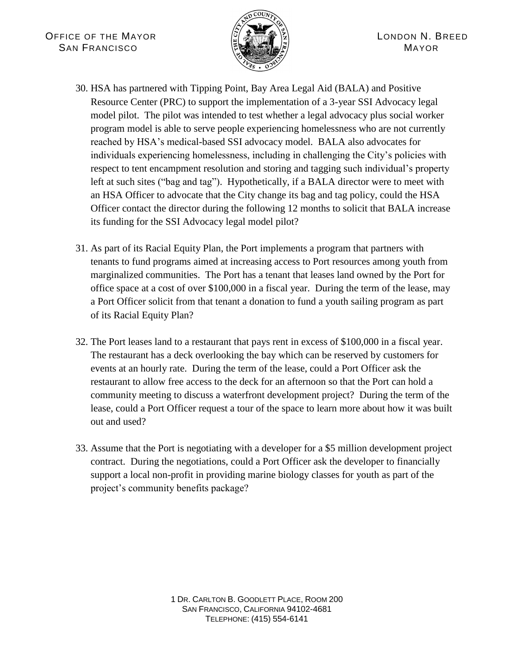

- 30. HSA has partnered with Tipping Point, Bay Area Legal Aid (BALA) and Positive Resource Center (PRC) to support the implementation of a 3-year SSI Advocacy legal model pilot. The pilot was intended to test whether a legal advocacy plus social worker program model is able to serve people experiencing homelessness who are not currently reached by HSA's medical-based SSI advocacy model. BALA also advocates for individuals experiencing homelessness, including in challenging the City's policies with respect to tent encampment resolution and storing and tagging such individual's property left at such sites ("bag and tag"). Hypothetically, if a BALA director were to meet with an HSA Officer to advocate that the City change its bag and tag policy, could the HSA Officer contact the director during the following 12 months to solicit that BALA increase its funding for the SSI Advocacy legal model pilot?
- 31. As part of its Racial Equity Plan, the Port implements a program that partners with tenants to fund programs aimed at increasing access to Port resources among youth from marginalized communities. The Port has a tenant that leases land owned by the Port for office space at a cost of over \$100,000 in a fiscal year. During the term of the lease, may a Port Officer solicit from that tenant a donation to fund a youth sailing program as part of its Racial Equity Plan?
- 32. The Port leases land to a restaurant that pays rent in excess of \$100,000 in a fiscal year. The restaurant has a deck overlooking the bay which can be reserved by customers for events at an hourly rate. During the term of the lease, could a Port Officer ask the restaurant to allow free access to the deck for an afternoon so that the Port can hold a community meeting to discuss a waterfront development project? During the term of the lease, could a Port Officer request a tour of the space to learn more about how it was built out and used?
- 33. Assume that the Port is negotiating with a developer for a \$5 million development project contract. During the negotiations, could a Port Officer ask the developer to financially support a local non-profit in providing marine biology classes for youth as part of the project's community benefits package?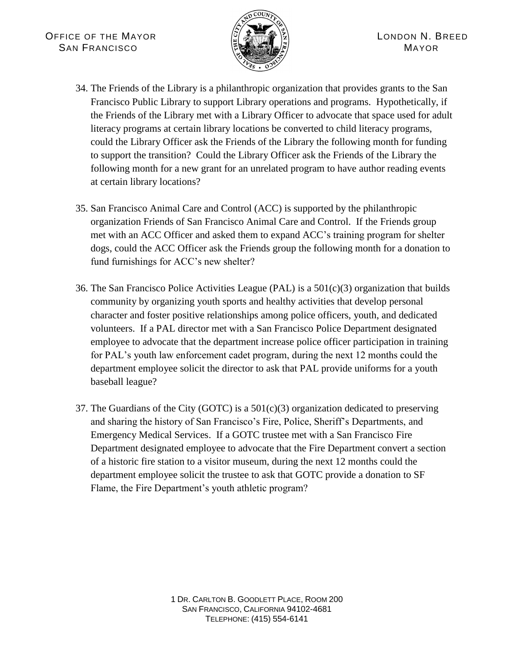

- 34. The Friends of the Library is a philanthropic organization that provides grants to the San Francisco Public Library to support Library operations and programs. Hypothetically, if the Friends of the Library met with a Library Officer to advocate that space used for adult literacy programs at certain library locations be converted to child literacy programs, could the Library Officer ask the Friends of the Library the following month for funding to support the transition? Could the Library Officer ask the Friends of the Library the following month for a new grant for an unrelated program to have author reading events at certain library locations?
- 35. San Francisco Animal Care and Control (ACC) is supported by the philanthropic organization Friends of San Francisco Animal Care and Control. If the Friends group met with an ACC Officer and asked them to expand ACC's training program for shelter dogs, could the ACC Officer ask the Friends group the following month for a donation to fund furnishings for ACC's new shelter?
- 36. The San Francisco Police Activities League (PAL) is a 501(c)(3) organization that builds community by organizing youth sports and healthy activities that develop personal character and foster positive relationships among police officers, youth, and dedicated volunteers. If a PAL director met with a San Francisco Police Department designated employee to advocate that the department increase police officer participation in training for PAL's youth law enforcement cadet program, during the next 12 months could the department employee solicit the director to ask that PAL provide uniforms for a youth baseball league?
- 37. The Guardians of the City (GOTC) is a  $501(c)(3)$  organization dedicated to preserving and sharing the history of San Francisco's Fire, Police, Sheriff's Departments, and Emergency Medical Services. If a GOTC trustee met with a San Francisco Fire Department designated employee to advocate that the Fire Department convert a section of a historic fire station to a visitor museum, during the next 12 months could the department employee solicit the trustee to ask that GOTC provide a donation to SF Flame, the Fire Department's youth athletic program?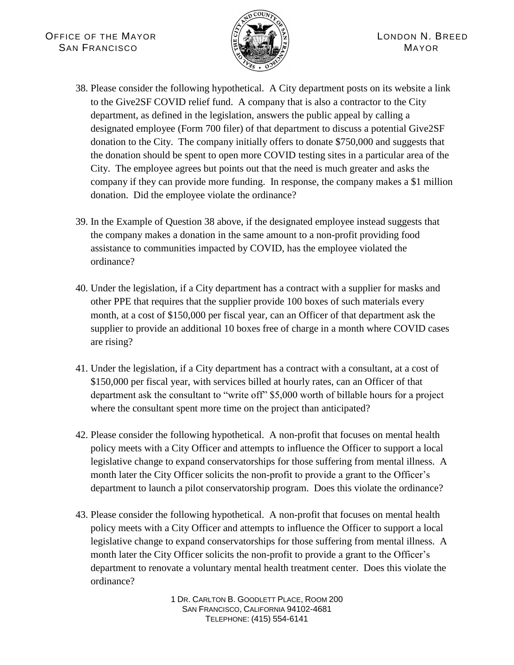

- 38. Please consider the following hypothetical. A City department posts on its website a link to the Give2SF COVID relief fund. A company that is also a contractor to the City department, as defined in the legislation, answers the public appeal by calling a designated employee (Form 700 filer) of that department to discuss a potential Give2SF donation to the City. The company initially offers to donate \$750,000 and suggests that the donation should be spent to open more COVID testing sites in a particular area of the City. The employee agrees but points out that the need is much greater and asks the company if they can provide more funding. In response, the company makes a \$1 million donation. Did the employee violate the ordinance?
- 39. In the Example of Question 38 above, if the designated employee instead suggests that the company makes a donation in the same amount to a non-profit providing food assistance to communities impacted by COVID, has the employee violated the ordinance?
- 40. Under the legislation, if a City department has a contract with a supplier for masks and other PPE that requires that the supplier provide 100 boxes of such materials every month, at a cost of \$150,000 per fiscal year, can an Officer of that department ask the supplier to provide an additional 10 boxes free of charge in a month where COVID cases are rising?
- 41. Under the legislation, if a City department has a contract with a consultant, at a cost of \$150,000 per fiscal year, with services billed at hourly rates, can an Officer of that department ask the consultant to "write off" \$5,000 worth of billable hours for a project where the consultant spent more time on the project than anticipated?
- 42. Please consider the following hypothetical. A non-profit that focuses on mental health policy meets with a City Officer and attempts to influence the Officer to support a local legislative change to expand conservatorships for those suffering from mental illness. A month later the City Officer solicits the non-profit to provide a grant to the Officer's department to launch a pilot conservatorship program. Does this violate the ordinance?
- 43. Please consider the following hypothetical. A non-profit that focuses on mental health policy meets with a City Officer and attempts to influence the Officer to support a local legislative change to expand conservatorships for those suffering from mental illness. A month later the City Officer solicits the non-profit to provide a grant to the Officer's department to renovate a voluntary mental health treatment center. Does this violate the ordinance?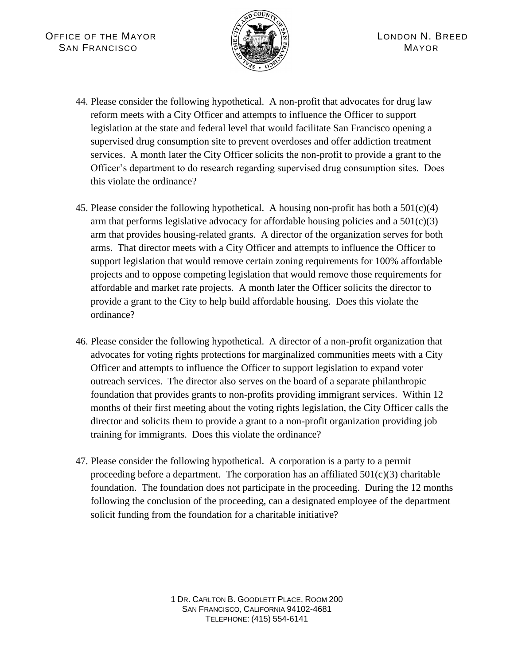

- 44. Please consider the following hypothetical. A non-profit that advocates for drug law reform meets with a City Officer and attempts to influence the Officer to support legislation at the state and federal level that would facilitate San Francisco opening a supervised drug consumption site to prevent overdoses and offer addiction treatment services. A month later the City Officer solicits the non-profit to provide a grant to the Officer's department to do research regarding supervised drug consumption sites. Does this violate the ordinance?
- 45. Please consider the following hypothetical. A housing non-profit has both a  $501(c)(4)$ arm that performs legislative advocacy for affordable housing policies and a  $501(c)(3)$ arm that provides housing-related grants. A director of the organization serves for both arms. That director meets with a City Officer and attempts to influence the Officer to support legislation that would remove certain zoning requirements for 100% affordable projects and to oppose competing legislation that would remove those requirements for affordable and market rate projects. A month later the Officer solicits the director to provide a grant to the City to help build affordable housing. Does this violate the ordinance?
- 46. Please consider the following hypothetical. A director of a non-profit organization that advocates for voting rights protections for marginalized communities meets with a City Officer and attempts to influence the Officer to support legislation to expand voter outreach services. The director also serves on the board of a separate philanthropic foundation that provides grants to non-profits providing immigrant services. Within 12 months of their first meeting about the voting rights legislation, the City Officer calls the director and solicits them to provide a grant to a non-profit organization providing job training for immigrants. Does this violate the ordinance?
- 47. Please consider the following hypothetical. A corporation is a party to a permit proceeding before a department. The corporation has an affiliated  $501(c)(3)$  charitable foundation. The foundation does not participate in the proceeding. During the 12 months following the conclusion of the proceeding, can a designated employee of the department solicit funding from the foundation for a charitable initiative?